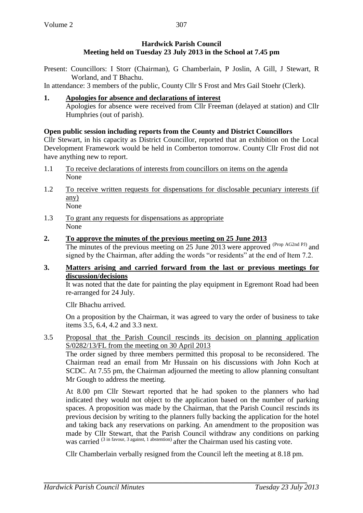## **Hardwick Parish Council Meeting held on Tuesday 23 July 2013 in the School at 7.45 pm**

Present: Councillors: I Storr (Chairman), G Chamberlain, P Joslin, A Gill, J Stewart, R Worland, and T Bhachu.

In attendance: 3 members of the public, County Cllr S Frost and Mrs Gail Stoehr (Clerk).

## **1. Apologies for absence and declarations of interest**

Apologies for absence were received from Cllr Freeman (delayed at station) and Cllr Humphries (out of parish).

## **Open public session including reports from the County and District Councillors**

Cllr Stewart, in his capacity as District Councillor, reported that an exhibition on the Local Development Framework would be held in Comberton tomorrow. County Cllr Frost did not have anything new to report.

- 1.1 To receive declarations of interests from councillors on items on the agenda None
- 1.2 To receive written requests for dispensations for disclosable pecuniary interests (if any) None
- 1.3 To grant any requests for dispensations as appropriate None

## **2. To approve the minutes of the previous meeting on 25 June 2013**

The minutes of the previous meeting on 25 June 2013 were approved (Prop AG2nd PJ) and signed by the Chairman, after adding the words "or residents" at the end of Item 7.2.

### **3. Matters arising and carried forward from the last or previous meetings for discussion/decisions**

It was noted that the date for painting the play equipment in Egremont Road had been re-arranged for 24 July.

Cllr Bhachu arrived.

On a proposition by the Chairman, it was agreed to vary the order of business to take items 3.5, 6.4, 4.2 and 3.3 next.

3.5 Proposal that the Parish Council rescinds its decision on planning application S/0282/13/FL from the meeting on 30 April 2013

The order signed by three members permitted this proposal to be reconsidered. The Chairman read an email from Mr Hussain on his discussions with John Koch at SCDC. At 7.55 pm, the Chairman adjourned the meeting to allow planning consultant Mr Gough to address the meeting.

At 8.00 pm Cllr Stewart reported that he had spoken to the planners who had indicated they would not object to the application based on the number of parking spaces. A proposition was made by the Chairman, that the Parish Council rescinds its previous decision by writing to the planners fully backing the application for the hotel and taking back any reservations on parking. An amendment to the proposition was made by Cllr Stewart, that the Parish Council withdraw any conditions on parking was carried <sup>(3 in favour, 3 against, 1 abstention)</sup> after the Chairman used his casting vote.

Cllr Chamberlain verbally resigned from the Council left the meeting at 8.18 pm.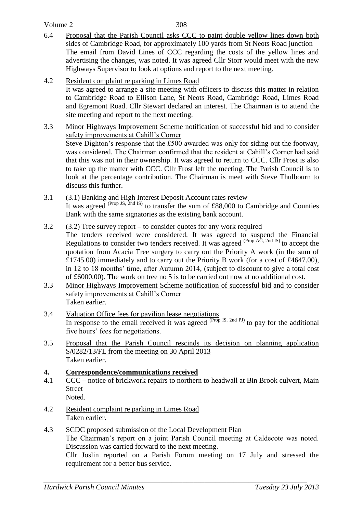Volume 2

308

- 6.4 Proposal that the Parish Council asks CCC to paint double yellow lines down both sides of Cambridge Road, for approximately 100 yards from St Neots Road junction The email from David Lines of CCC regarding the costs of the yellow lines and advertising the changes, was noted. It was agreed Cllr Storr would meet with the new Highways Supervisor to look at options and report to the next meeting.
- 4.2 Resident complaint re parking in Limes Road

It was agreed to arrange a site meeting with officers to discuss this matter in relation to Cambridge Road to Ellison Lane, St Neots Road, Cambridge Road, Limes Road and Egremont Road. Cllr Stewart declared an interest. The Chairman is to attend the site meeting and report to the next meeting.

- 3.3 Minor Highways Improvement Scheme notification of successful bid and to consider safety improvements at Cahill's Corner Steve Dighton's response that the £500 awarded was only for siding out the footway, was considered. The Chairman confirmed that the resident at Cahill's Corner had said that this was not in their ownership. It was agreed to return to CCC. Cllr Frost is also to take up the matter with CCC. Cllr Frost left the meeting. The Parish Council is to look at the percentage contribution. The Chairman is meet with Steve Thulbourn to discuss this further.
- 3.1 (3.1) Banking and High Interest Deposit Account rates review It was agreed <sup>(Prop JS, 2nd IS)</sup> to transfer the sum of £88,000 to Cambridge and Counties Bank with the same signatories as the existing bank account.
- 3.2 (3.2) Tree survey report to consider quotes for any work required The tenders received were considered. It was agreed to suspend the Financial Regulations to consider two tenders received. It was agreed (Prop AG, 2nd IS) to accept the quotation from Acacia Tree surgery to carry out the Priority A work (in the sum of £1745.00) immediately and to carry out the Priority B work (for a cost of £4647.00), in 12 to 18 months' time, after Autumn 2014, (subject to discount to give a total cost of £6000.00). The work on tree no 5 is to be carried out now at no additional cost.
- 3.3 Minor Highways Improvement Scheme notification of successful bid and to consider safety improvements at Cahill's Corner Taken earlier.
- 3.4 Valuation Office fees for pavilion lease negotiations In response to the email received it was agreed <sup>(Prop</sup> IS, 2nd PJ) to pay for the additional five hours' fees for negotiations.
- 3.5 Proposal that the Parish Council rescinds its decision on planning application S/0282/13/FL from the meeting on 30 April 2013 Taken earlier.
- **4. Correspondence/communications received**
- 4.1 CCC notice of brickwork repairs to northern to headwall at Bin Brook culvert, Main Street Noted.
- 4.2 Resident complaint re parking in Limes Road Taken earlier.
- 4.3 SCDC proposed submission of the Local Development Plan The Chairman's report on a joint Parish Council meeting at Caldecote was noted. Discussion was carried forward to the next meeting. Cllr Joslin reported on a Parish Forum meeting on 17 July and stressed the requirement for a better bus service.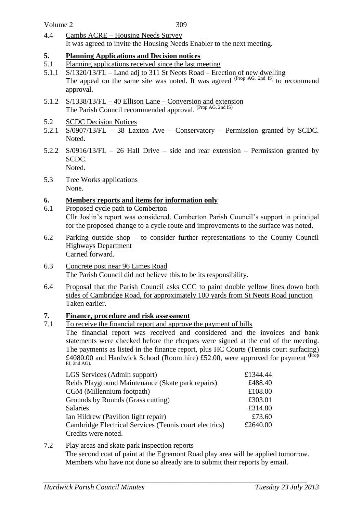4.4 Cambs ACRE – Housing Needs Survey It was agreed to invite the Housing Needs Enabler to the next meeting.

### **5. Planning Applications and Decision notices**

- 5.1 Planning applications received since the last meeting
- 5.1.1 S/1320/13/FL Land adj to 311 St Neots Road Erection of new dwelling The appeal on the same site was noted. It was agreed <sup>(Prop AG, 2nd IS)</sup> to recommend approval.
- 5.1.2 S/1338/13/FL 40 Ellison Lane Conversion and extension The Parish Council recommended approval. (Prop AG, 2nd IS)
- 5.2 SCDC Decision Notices
- 5.2.1 S/0907/13/FL 38 Laxton Ave Conservatory Permission granted by SCDC. Noted.
- 5.2.2 S/0916/13/FL 26 Hall Drive side and rear extension Permission granted by SCDC. Noted.
- 5.3 Tree Works applications None.

## **6. Members reports and items for information only**

- 6.1 Proposed cycle path to Comberton Cllr Joslin's report was considered. Comberton Parish Council's support in principal for the proposed change to a cycle route and improvements to the surface was noted.
- 6.2 Parking outside shop to consider further representations to the County Council Highways Department Carried forward.
- 6.3 Concrete post near 96 Limes Road The Parish Council did not believe this to be its responsibility.
- 6.4 Proposal that the Parish Council asks CCC to paint double yellow lines down both sides of Cambridge Road, for approximately 100 yards from St Neots Road junction Taken earlier.

## **7. Finance, procedure and risk assessment**

7.1 To receive the financial report and approve the payment of bills

The financial report was received and considered and the invoices and bank statements were checked before the cheques were signed at the end of the meeting. The payments as listed in the finance report, plus HC Courts (Tennis court surfacing) £4080.00 and Hardwick School (Room hire) £52.00, were approved for payment <sup>(Prop</sup> PJ, 2nd AG).

| LGS Services (Admin support)                           | £1344.44 |
|--------------------------------------------------------|----------|
| Reids Playground Maintenance (Skate park repairs)      | £488.40  |
| CGM (Millennium footpath)                              | £108.00  |
| Grounds by Rounds (Grass cutting)                      | £303.01  |
| Salaries                                               | £314.80  |
| Ian Hildrew (Pavilion light repair)                    | £73.60   |
| Cambridge Electrical Services (Tennis court electrics) | £2640.00 |
| Credits were noted.                                    |          |
|                                                        |          |

# 7.2 Play areas and skate park inspection reports

The second coat of paint at the Egremont Road play area will be applied tomorrow. Members who have not done so already are to submit their reports by email.